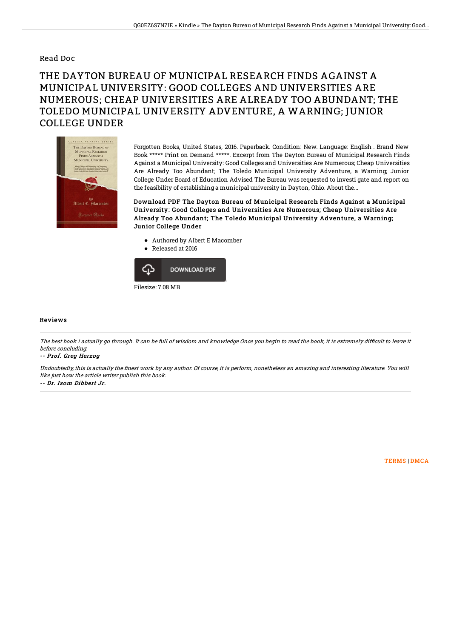### Read Doc

# THE DAYTON BUREAU OF MUNICIPAL RESEARCH FINDS AGAINST A MUNICIPAL UNIVERSITY: GOOD COLLEGES AND UNIVERSITIES ARE NUMEROUS; CHEAP UNIVERSITIES ARE ALREADY TOO ABUNDANT; THE TOLEDO MUNICIPAL UNIVERSITY ADVENTURE, A WARNING; JUNIOR COLLEGE UNDER



Forgotten Books, United States, 2016. Paperback. Condition: New. Language: English . Brand New Book \*\*\*\*\* Print on Demand \*\*\*\*\*. Excerpt from The Dayton Bureau of Municipal Research Finds Against a Municipal University: Good Colleges and Universities Are Numerous; Cheap Universities Are Already Too Abundant; The Toledo Municipal University Adventure, a Warning; Junior College Under Board of Education Advised The Bureau was requested to investi gate and report on the feasibility of establishing a municipal university in Dayton, Ohio. About the...

Download PDF The Dayton Bureau of Municipal Research Finds Against a Municipal University: Good Colleges and Universities Are Numerous; Cheap Universities Are Already Too Abundant; The Toledo Municipal University Adventure, a Warning; Junior College Under

- Authored by Albert E Macomber
- Released at 2016



#### Reviews

The best book i actually go through. It can be full of wisdom and knowledge Once you begin to read the book, it is extremely difficult to leave it before concluding.

#### -- Prof. Greg Herzog

Undoubtedly, this is actually the finest work by any author. Of course, it is perform, nonetheless an amazing and interesting literature. You will like just how the article writer publish this book.

-- Dr. Isom Dibbert Jr.